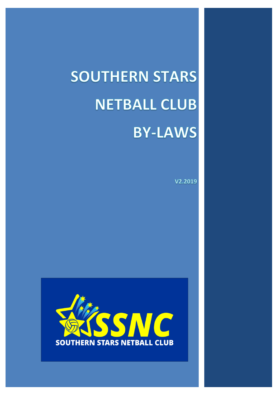# **SOUTHERN STARS NETBALL CLUB BY-LAWS**

V2.2019

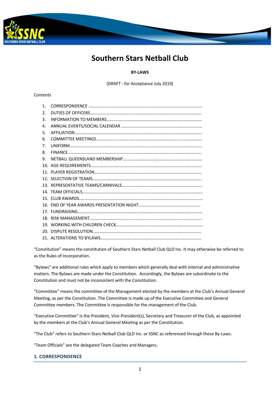

# **Southern Stars Netball Club**

# **BY-LAWS**

(DRAFT - for Acceptance July 2019)

# Contents

| 1. |  |
|----|--|
| 2. |  |
| 3. |  |
| 4. |  |
| 5. |  |
| 6. |  |
| 7. |  |
| 8. |  |
| 9. |  |
|    |  |
|    |  |
|    |  |
|    |  |
|    |  |
|    |  |
|    |  |
|    |  |
|    |  |
|    |  |
|    |  |
|    |  |

"Constitution" means the constitution of Southern Stars Netball Club QLD Inc. It may otherwise be referred to as the Rules of Incorporation.

"Bylaws" are additional rules which apply to members which generally deal with internal and administrative matters. The Bylaws are made under the Constitution. Accordingly, the Bylaws are subordinate to the Constitution and must not be inconsistent with the Constitution.

"Committee" means the committee of the Management elected by the members at the Club's Annual General Meeting, as per the Constitution. The Committee is made up of the Executive Committee and General Committee members. The Committee is responsible for the management of the Club.

"Executive Committee" is the President, Vice-President(s), Secretary and Treasurer of the Club, as appointed by the members at the Club's Annual General Meeting as per the Constitution.

"The Club" refers to Southern Stars Netball Club QLD Inc. or SSNC as referenced through these By-Laws.

"Team Officials" are the delegated Team Coaches and Managers.

# **1. CORRESPONDENCE**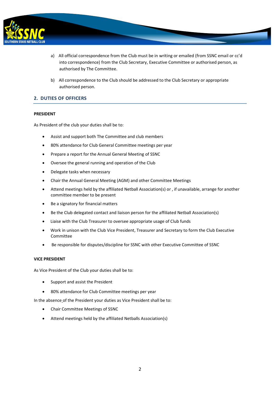

- a) All official correspondence from the Club must be in writing or emailed (from SSNC email or cc'd into correspondence) from the Club Secretary, Executive Committee or authorised person, as authorised by The Committee.
- b) All correspondence to the Club should be addressed to the Club Secretary or appropriate authorised person.

# **2. DUTIES OF OFFICERS**

#### **PRESIDENT**

As President of the club your duties shall be to:

- Assist and support both The Committee and club members
- 80% attendance for Club General Committee meetings per year
- Prepare a report for the Annual General Meeting of SSNC
- Oversee the general running and operation of the Club
- Delegate tasks when necessary
- Chair the Annual General Meeting (AGM) and other Committee Meetings
- Attend meetings held by the affiliated Netball Association(s) or , if unavailable, arrange for another committee member to be present
- Be a signatory for financial matters
- Be the Club delegated contact and liaison person for the affiliated Netball Association(s)
- Liaise with the Club Treasurer to oversee appropriate usage of Club funds
- Work in unison with the Club Vice President, Treasurer and Secretary to form the Club Executive Committee
- Be responsible for disputes/discipline for SSNC with other Executive Committee of SSNC

# **VICE PRESIDENT**

As Vice President of the Club your duties shall be to:

- Support and assist the President
- 80% attendance for Club Committee meetings per year

In the absence of the President your duties as Vice President shall be to:

- Chair Committee Meetings of SSNC
- Attend meetings held by the affiliated Netballs Association(s)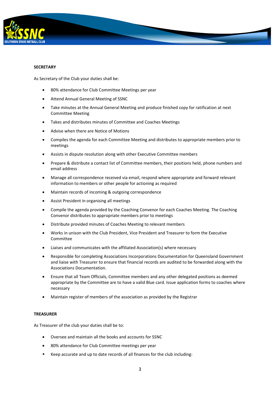

#### **SECRETARY**

As Secretary of the Club your duties shall be:

- 80% attendance for Club Committee Meetings per year
- Attend Annual General Meeting of SSNC
- Take minutes at the Annual General Meeting and produce finished copy for ratification at next Committee Meeting
- Takes and distributes minutes of Committee and Coaches Meetings
- Advise when there are Notice of Motions
- Compiles the agenda for each Committee Meeting and distributes to appropriate members prior to meetings
- Assists in dispute resolution along with other Executive Committee members
- Prepare & distribute a contact list of Committee members, their positions held, phone numbers and email address
- Manage all correspondence received via email, respond where appropriate and forward relevant information to members or other people for actioning as required
- Maintain records of incoming & outgoing correspondence
- Assist President in organising all meetings
- Compile the agenda provided by the Coaching Convenor for each Coaches Meeting. The Coaching Convenor distributes to appropriate members prior to meetings
- Distribute provided minutes of Coaches Meeting to relevant members
- Works in unison with the Club President, Vice President and Treasurer to form the Executive Committee
- Liaises and communicates with the affiliated Association(s) where necessary
- Responsible for completing Associations Incorporations Documentation for Queensland Government and liaise with Treasurer to ensure that financial records are audited to be forwarded along with the Associations Documentation.
- Ensure that all Team Officials, Committee members and any other delegated positions as deemed appropriate by the Committee are to have a valid Blue card. Issue application forms to coaches where necessary
- Maintain register of members of the association as provided by the Registrar

#### **TREASURER**

As Treasurer of the club your duties shall be to:

- Oversee and maintain all the books and accounts for SSNC
- 80% attendance for Club Committee meetings per year
- Keep accurate and up to date records of all finances for the club including: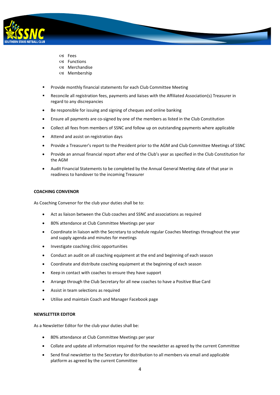

- Fees
- Functions
- Merchandise
- Membership
- Provide monthly financial statements for each Club Committee Meeting
- Reconcile all registration fees, payments and liaises with the Affiliated Association(s) Treasurer in regard to any discrepancies
- Be responsible for issuing and signing of cheques and online banking
- Ensure all payments are co-signed by one of the members as listed in the Club Constitution
- Collect all fees from members of SSNC and follow up on outstanding payments where applicable
- Attend and assist on registration days
- Provide a Treasurer's report to the President prior to the AGM and Club Committee Meetings of SSNC
- Provide an annual financial report after end of the Club's year as specified in the Club Constitution for the AGM
- Audit Financial Statements to be completed by the Annual General Meeting date of that year in readiness to handover to the incoming Treasurer

#### **COACHING CONVENOR**

As Coaching Convenor for the club your duties shall be to:

- Act as liaison between the Club coaches and SSNC and associations as required
- 80% attendance at Club Committee Meetings per year
- Coordinate in liaison with the Secretary to schedule regular Coaches Meetings throughout the year and supply agenda and minutes for meetings
- Investigate coaching clinic opportunities
- Conduct an audit on all coaching equipment at the end and beginning of each season
- Coordinate and distribute coaching equipment at the beginning of each season
- Keep in contact with coaches to ensure they have support
- Arrange through the Club Secretary for all new coaches to have a Positive Blue Card
- Assist in team selections as required
- Utilise and maintain Coach and Manager Facebook page

#### **NEWSLETTER EDITOR**

As a Newsletter Editor for the club your duties shall be:

- 80% attendance at Club Committee Meetings per year
- Collate and update all information required for the newsletter as agreed by the current Committee
- Send final newsletter to the Secretary for distribution to all members via email and applicable platform as agreed by the current Committee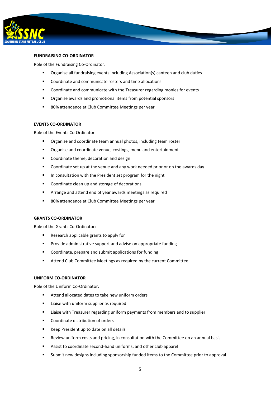

#### **FUNDRAISING CO-ORDINATOR**

Role of the Fundraising Co-Ordinator:

- Organise all fundraising events including Association(s) canteen and club duties
- Coordinate and communicate rosters and time allocations
- Coordinate and communicate with the Treasurer regarding monies for events
- Organise awards and promotional items from potential sponsors
- 80% attendance at Club Committee Meetings per year

#### **EVENTS CO-ORDINATOR**

Role of the Events Co-Ordinator

- **•** Organise and coordinate team annual photos, including team roster
- **•** Organise and coordinate venue, costings, menu and entertainment
- Coordinate theme, decoration and design
- **EXECOORDINATE:** Coordinate set up at the venue and any work needed prior or on the awards day
- **IF In consultation with the President set program for the night**
- **EXECOORDINATE:** Coordinate clean up and storage of decorations
- Arrange and attend end of year awards meetings as required
- 80% attendance at Club Committee Meetings per year

# **GRANTS CO-ORDINATOR**

Role of the Grants Co-Ordinator:

- **Research applicable grants to apply for**
- **Provide administrative support and advise on appropriate funding**
- Coordinate, prepare and submit applications for funding
- **EXECUTE:** Attend Club Committee Meetings as required by the current Committee

#### **UNIFORM CO-ORDINATOR**

Role of the Uniform Co-Ordinator:

- Attend allocated dates to take new uniform orders
- **EXEC** Liaise with uniform supplier as required
- **EXED 1** Liaise with Treasurer regarding uniform payments from members and to supplier
- Coordinate distribution of orders
- Keep President up to date on all details
- Review uniform costs and pricing, in consultation with the Committee on an annual basis
- Assist to coordinate second-hand uniforms, and other club apparel
- Submit new designs including sponsorship funded items to the Committee prior to approval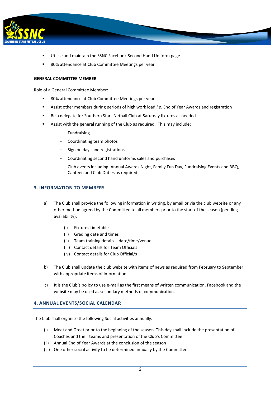

- Utilise and maintain the SSNC Facebook Second Hand Uniform page
- 80% attendance at Club Committee Meetings per year

# **GENERAL COMMITTEE MEMBER**

Role of a General Committee Member:

- 80% attendance at Club Committee Meetings per year
- Assist other members during periods of high work load *i.e*. End of Year Awards and registration
- Be a delegate for Southern Stars Netball Club at Saturday fixtures as needed
- Assist with the general running of the Club as required. This may include:
	- **Fundraising**
	- Coordinating team photos
	- Sign on days and registrations
	- Coordinating second hand uniforms sales and purchases
	- Club events including: Annual Awards Night, Family Fun Day, Fundraising Events and BBQ, Canteen and Club Duties as required

# **3. INFORMATION TO MEMBERS**

- a) The Club shall provide the following information in writing, by email or via the club website or any other method agreed by the Committee to all members prior to the start of the season (pending availability):
	- (i) Fixtures timetable
	- (ii) Grading date and times
	- (ii) Team training details date/time/venue
	- (iii) Contact details for Team Officials
	- (iv) Contact details for Club Official/s
- b) The Club shall update the club website with items of news as required from February to September with appropriate items of information.
- c) It is the Club's policy to use e-mail as the first means of written communication. Facebook and the website may be used as secondary methods of communication.

# **4. ANNUAL EVENTS/SOCIAL CALENDAR**

The Club shall organise the following Social activities annually:

- (i) Meet and Greet prior to the beginning of the season. This day shall include the presentation of Coaches and their teams and presentation of the Club's Committee
- (ii) Annual End of Year Awards at the conclusion of the season
- (iii) One other social activity to be determined annually by the Committee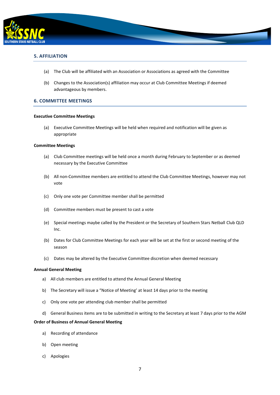

# **5. AFFILIATION**

- (a) The Club will be affiliated with an Association or Associations as agreed with the Committee
- (b) Changes to the Association(s) affiliation may occur at Club Committee Meetings if deemed advantageous by members.

# **6. COMMITTEE MEETINGS**

#### **Executive Committee Meetings**

(a) Executive Committee Meetings will be held when required and notification will be given as appropriate

#### **Committee Meetings**

- (a) Club Committee meetings will be held once a month during February to September or as deemed necessary by the Executive Committee
- (b) All non-Committee members are entitled to attend the Club Committee Meetings, however may not vote
- (c) Only one vote per Committee member shall be permitted
- (d) Committee members must be present to cast a vote
- (e) Special meetings maybe called by the President or the Secretary of Southern Stars Netball Club QLD Inc.
- (b) Dates for Club Committee Meetings for each year will be set at the first or second meeting of the season
- (c) Dates may be altered by the Executive Committee discretion when deemed necessary

#### **Annual General Meeting**

- a) All club members are entitled to attend the Annual General Meeting
- b) The Secretary will issue a "Notice of Meeting' at least 14 days prior to the meeting
- c) Only one vote per attending club member shall be permitted
- d) General Business items are to be submitted in writing to the Secretary at least 7 days prior to the AGM

#### **Order of Business of Annual General Meeting**

- a) Recording of attendance
- b) Open meeting
- c) Apologies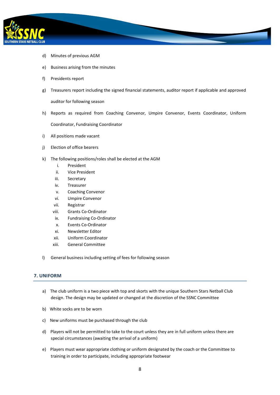

- d) Minutes of previous AGM
- e) Business arising from the minutes
- f) Presidents report
- g) Treasurers report including the signed financial statements, auditor report if applicable and approved auditor for following season
- h) Reports as required from Coaching Convenor, Umpire Convenor, Events Coordinator, Uniform Coordinator, Fundraising Coordinator
- i) All positions made vacant
- j) Election of office bearers
- k) The following positions/roles shall be elected at the AGM
	- i. President
	- ii. Vice President
	- iii. Secretary
	- iv. Treasurer
	- v. Coaching Convenor
	- vi. Umpire Convenor
	- vii. Registrar
	- viii. Grants Co-Ordinator
	- ix. Fundraising Co-Ordinator
	- x. Events Co-Ordinator
	- xi. Newsletter Editor
	- xii. Uniform Coordinator
	- xiii. General Committee
- l) General business including setting of fees for following season

# **7. UNIFORM**

- a) The club uniform is a two piece with top and skorts with the unique Southern Stars Netball Club design. The design may be updated or changed at the discretion of the SSNC Committee
- b) White socks are to be worn
- c) New uniforms must be purchased through the club
- d) Players will not be permitted to take to the court unless they are in full uniform unless there are special circumstances (awaiting the arrival of a uniform)
- e) Players must wear appropriate clothing or uniform designated by the coach or the Committee to training in order to participate, including appropriate footwear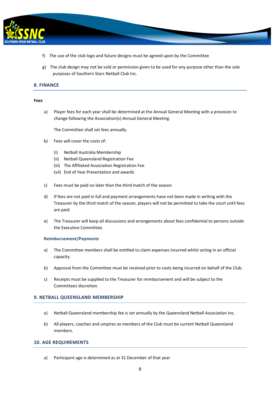

- f) The use of the club logo and future designs must be agreed upon by the Committee
- g) The club design may not be sold or permission given to be used for any purpose other than the sole purposes of Southern Stars Netball Club Inc.

# **8. FINANCE**

#### **Fees**

a) Player fees for each year shall be determined at the Annual General Meeting with a provision to change following the Association(s) Annual General Meeting.

The Committee shall set fees annually.

- b) Fees will cover the costs of:
	- (i) Netball Australia Membership
	- (ii) Netball Queensland Registration Fee
	- (iii) The Affiliated Association Registration Fee
	- (vii) End of Year Presentation and awards
- c) Fees must be paid no later than the third match of the season
- d) If fees are not paid in full and payment arrangements have not been made in writing with the Treasurer by the third match of the season, players will not be permitted to take the court until fees are paid.
- e) The Treasurer will keep all discussions and arrangements about fees confidential to persons outside the Executive Committee.

#### **Reimbursement/Payments**

- a) The Committee members shall be entitled to claim expenses incurred whilst acting in an official capacity.
- b) Approval from the Committee must be received prior to costs being incurred on behalf of the Club.
- c) Receipts must be supplied to the Treasurer for reimbursement and will be subject to the Committees discretion.

# **9. NETBALL QUEENSLAND MEMBERSHIP**

- a) Netball Queensland membership fee is set annually by the Queensland Netball Association Inc.
- b) All players, coaches and umpires as members of the Club must be current Netball Queensland members.

#### **10. AGE REQUIREMENTS**

a) Participant age is determined as at 31 December of that year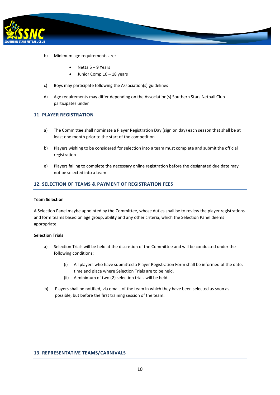

- b) Minimum age requirements are:
	- Netta 5 9 Years
	- Junior Comp 10 18 years
- c) Boys may participate following the Association(s) guidelines
- d) Age requirements may differ depending on the Association(s) Southern Stars Netball Club participates under

#### **11. PLAYER REGISTRATION**

- a) The Committee shall nominate a Player Registration Day (sign on day) each season that shall be at least one month prior to the start of the competition
- b) Players wishing to be considered for selection into a team must complete and submit the official registration
- e) Players failing to complete the necessary online registration before the designated due date may not be selected into a team

# **12. SELECTION OF TEAMS & PAYMENT OF REGISTRATION FEES**

#### **Team Selection**

A Selection Panel maybe appointed by the Committee, whose duties shall be to review the player registrations and form teams based on age group, ability and any other criteria, which the Selection Panel deems appropriate.

#### **Selection Trials**

- a) Selection Trials will be held at the discretion of the Committee and will be conducted under the following conditions:
	- (i) All players who have submitted a Player Registration Form shall be informed of the date, time and place where Selection Trials are to be held.
	- (ii) A minimum of two (2) selection trials will be held.
- b) Players shall be notified, via email, of the team in which they have been selected as soon as possible, but before the first training session of the team.

#### **13. REPRESENTATIVE TEAMS/CARNIVALS**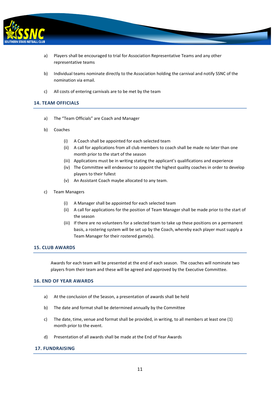

- a) Players shall be encouraged to trial for Association Representative Teams and any other representative teams
- b) Individual teams nominate directly to the Association holding the carnival and notify SSNC of the nomination via email.
- c) All costs of entering carnivals are to be met by the team

# **14. TEAM OFFICIALS**

- a) The "Team Officials" are Coach and Manager
- b) Coaches
	- (i) A Coach shall be appointed for each selected team
	- (ii) A call for applications from all club members to coach shall be made no later than one month prior to the start of the season
	- (iii) Applications must be in writing stating the applicant's qualifications and experience
	- (iv) The Committee will endeavour to appoint the highest quality coaches in order to develop players to their fullest
	- (v) An Assistant Coach maybe allocated to any team.
- c) Team Managers
	- (i) A Manager shall be appointed for each selected team
	- (ii) A call for applications for the position of Team Manager shall be made prior to the start of the season
	- (iii) If there are no volunteers for a selected team to take up these positions on a permanent basis, a rostering system will be set up by the Coach, whereby each player must supply a Team Manager for their rostered game(s).

# **15. CLUB AWARDS**

Awards for each team will be presented at the end of each season. The coaches will nominate two players from their team and these will be agreed and approved by the Executive Committee.

# **16. END OF YEAR AWARDS**

- a) At the conclusion of the Season, a presentation of awards shall be held
- b) The date and format shall be determined annually by the Committee
- c) The date, time, venue and format shall be provided, in writing, to all members at least one (1) month prior to the event.
- d) Presentation of all awards shall be made at the End of Year Awards

# **17. FUNDRAISING**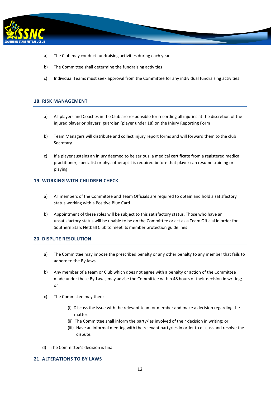

- a) The Club may conduct fundraising activities during each year
- b) The Committee shall determine the fundraising activities
- c) Individual Teams must seek approval from the Committee for any individual fundraising activities

# **18. RISK MANAGEMENT**

- a) All players and Coaches in the Club are responsible for recording all injuries at the discretion of the injured player or players' guardian (player under 18) on the Injury Reporting Form
- b) Team Managers will distribute and collect injury report forms and will forward them to the club Secretary
- c) If a player sustains an injury deemed to be serious, a medical certificate from a registered medical practitioner, specialist or physiotherapist is required before that player can resume training or playing.

# **19. WORKING WITH CHILDREN CHECK**

- a) All members of the Committee and Team Officials are required to obtain and hold a satisfactory status working with a Positive Blue Card
- b) Appointment of these roles will be subject to this satisfactory status. Those who have an unsatisfactory status will be unable to be on the Committee or act as a Team Official in order for Southern Stars Netball Club to meet its member protection guidelines

# **20. DISPUTE RESOLUTION**

- a) The Committee may impose the prescribed penalty or any other penalty to any member that fails to adhere to the By-laws.
- b) Any member of a team or Club which does not agree with a penalty or action of the Committee made under these By-Laws, may advise the Committee within 48 hours of their decision in writing; or
- c) The Committee may then:
	- (i) Discuss the issue with the relevant team or member and make a decision regarding the matter.
	- (ii) The Committee shall inform the party/ies involved of their decision in writing; or
	- (iii) Have an informal meeting with the relevant party/ies in order to discuss and resolve the dispute.
- d) The Committee's decision is final

# **21. ALTERATIONS TO BY LAWS**